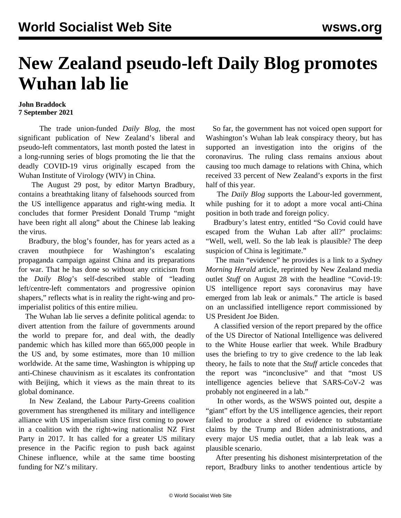## **New Zealand pseudo-left Daily Blog promotes Wuhan lab lie**

## **John Braddock 7 September 2021**

 The trade union-funded *Daily Blog*, the most significant publication of New Zealand's liberal and pseudo-left commentators, last month posted the latest in a long-running series of blogs promoting the lie that the deadly COVID-19 virus originally escaped from the Wuhan Institute of Virology (WIV) in China.

 The August 29 post, by editor Martyn Bradbury, contains a breathtaking litany of falsehoods sourced from the US intelligence apparatus and right-wing media. It concludes that former President Donald Trump "might have been right all along" about the Chinese lab leaking the virus.

 Bradbury, the blog's founder, has for years acted as a craven mouthpiece for Washington's escalating propaganda campaign against China and its preparations for war. That he has done so without any criticism from the *Daily Blog*'s self-described stable of "leading left/centre-left commentators and progressive opinion shapers," reflects what is in reality the right-wing and proimperialist politics of this entire milieu.

 The Wuhan lab lie serves a definite political agenda: to divert attention from the failure of governments around the world to prepare for, and deal with, the deadly pandemic which has killed more than 665,000 people in the US and, by some estimates, more than 10 million worldwide. At the same time, Washington is whipping up anti-Chinese chauvinism as it escalates its confrontation with Beijing, which it views as the main threat to its global dominance.

 In New Zealand, the Labour Party-Greens coalition government has strengthened its military and intelligence alliance with US imperialism since first coming to power in a coalition with the right-wing nationalist NZ First Party in 2017. It has called for a greater US military presence in the Pacific region to push back against Chinese influence, while at the same time boosting funding for NZ's military.

 So far, the government has not voiced open support for Washington's Wuhan lab leak conspiracy theory, but has supported an investigation into the origins of the coronavirus. The ruling class remains anxious about causing too much damage to relations with China, which received 33 percent of New Zealand's exports in the first half of this year.

 The *Daily Blog* supports the Labour-led government, while pushing for it to adopt a more vocal anti-China position in both trade and foreign policy.

 Bradbury's latest entry, entitled "So Covid could have escaped from the Wuhan Lab after all?" proclaims: "Well, well, well. So the lab leak is plausible? The deep suspicion of China is legitimate."

 The main "evidence" he provides is a link to a *Sydney Morning Herald* article, reprinted by New Zealand media outlet *Stuff* on August 28 with the headline "Covid-19: US intelligence report says coronavirus may have emerged from lab leak or animals." The article is based on an unclassified intelligence report commissioned by US President Joe Biden.

 A classified version of the report prepared by the office of the US Director of National Intelligence was delivered to the White House earlier that week. While Bradbury uses the briefing to try to give credence to the lab leak theory, he fails to note that the *Stuff* article concedes that the report was "inconclusive" and that "most US intelligence agencies believe that SARS-CoV-2 was probably not engineered in a lab."

 In other words, as the WSWS [pointed out](/en/articles/2021/08/26/pers-a26.html), despite a "giant" effort by the US intelligence agencies, their report failed to produce a shred of evidence to substantiate claims by the Trump and Biden administrations, and every major US media outlet, that a lab leak was a plausible scenario.

 After presenting his dishonest misinterpretation of the report, Bradbury links to another tendentious article by